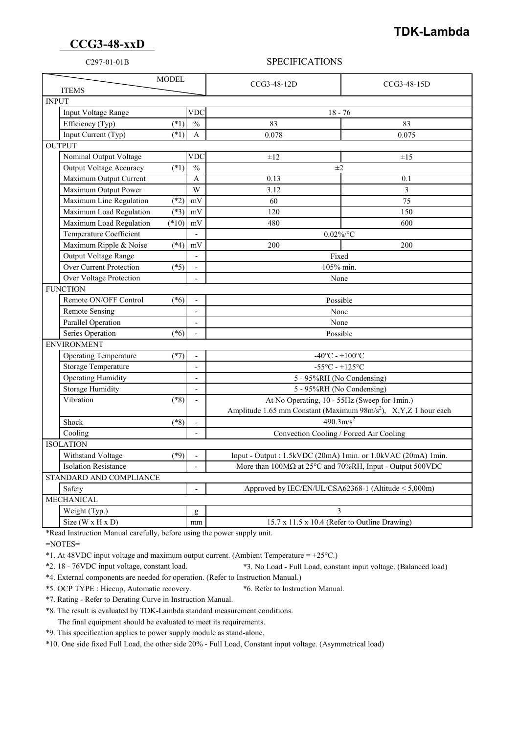## **TDK-Lambda**

## **CCG3-48-xxD**

## C297-01-01B SPECIFICATIONS

| <b>MODEL</b><br><b>ITEMS</b>             |                          | CCG3-48-12D                                                                                                                 | CCG3-48-15D |
|------------------------------------------|--------------------------|-----------------------------------------------------------------------------------------------------------------------------|-------------|
| <b>INPUT</b>                             |                          |                                                                                                                             |             |
| Input Voltage Range                      | <b>VDC</b>               | $18 - 76$                                                                                                                   |             |
| Efficiency (Typ)<br>$(*1)$               | $\frac{0}{0}$            | 83                                                                                                                          | 83          |
| Input Current (Typ)<br>$(*1)$            | A                        | 0.078                                                                                                                       | 0.075       |
| <b>OUTPUT</b>                            |                          |                                                                                                                             |             |
| Nominal Output Voltage                   | <b>VDC</b>               | ±12                                                                                                                         | $\pm 15$    |
| <b>Output Voltage Accuracy</b><br>$(*1)$ | $\frac{0}{0}$            | $\pm 2$                                                                                                                     |             |
| Maximum Output Current                   | A                        | 0.13                                                                                                                        | 0.1         |
| Maximum Output Power                     | W                        | 3.12                                                                                                                        | 3           |
| Maximum Line Regulation<br>$(*2)$        | mV                       | 60                                                                                                                          | 75          |
| Maximum Load Regulation<br>$(*3)$        | mV                       | 120                                                                                                                         | 150         |
| Maximum Load Regulation<br>$(*10)$       | mV                       | 480                                                                                                                         | 600         |
| Temperature Coefficient                  |                          | $0.02\%$ /°C                                                                                                                |             |
| Maximum Ripple & Noise<br>$(*4)$         | mV                       | 200                                                                                                                         | 200         |
| Output Voltage Range                     | $\overline{\phantom{a}}$ | Fixed                                                                                                                       |             |
| <b>Over Current Protection</b><br>$(*5)$ | $\overline{\phantom{0}}$ | 105% min.                                                                                                                   |             |
| Over Voltage Protection                  |                          | None                                                                                                                        |             |
| <b>FUNCTION</b>                          |                          |                                                                                                                             |             |
| Remote ON/OFF Control<br>$(*6)$          |                          | Possible                                                                                                                    |             |
| <b>Remote Sensing</b>                    | $\overline{\phantom{a}}$ | None                                                                                                                        |             |
| Parallel Operation                       |                          | None                                                                                                                        |             |
| Series Operation<br>$(*6)$               |                          | Possible                                                                                                                    |             |
| <b>ENVIRONMENT</b>                       |                          |                                                                                                                             |             |
| <b>Operating Temperature</b><br>$(*7)$   |                          | $-40^{\circ}$ C - $+100^{\circ}$ C                                                                                          |             |
| <b>Storage Temperature</b>               | $\blacksquare$           | $-55^{\circ}$ C - $+125^{\circ}$ C                                                                                          |             |
| <b>Operating Humidity</b>                | $\overline{\phantom{a}}$ | 5 - 95%RH (No Condensing)                                                                                                   |             |
| <b>Storage Humidity</b>                  | $\mathbf{r}$             | 5 - 95%RH (No Condensing)                                                                                                   |             |
| Vibration<br>$(*8)$                      |                          | At No Operating, 10 - 55Hz (Sweep for 1min.)<br>Amplitude 1.65 mm Constant (Maximum 98m/s <sup>2</sup> ), X,Y,Z 1 hour each |             |
|                                          |                          |                                                                                                                             |             |
| Shock<br>$(*8)$                          | $\overline{a}$           | $490.3 \text{m/s}^2$                                                                                                        |             |
| Cooling                                  | $\blacksquare$           | Convection Cooling / Forced Air Cooling                                                                                     |             |
| <b>ISOLATION</b>                         |                          |                                                                                                                             |             |
| Withstand Voltage<br>$(*9)$              | $\sim$                   | Input - Output : 1.5kVDC (20mA) 1min. or 1.0kVAC (20mA) 1min.                                                               |             |
| <b>Isolation Resistance</b>              |                          | More than $100M\Omega$ at $25^{\circ}$ C and $70\%$ RH, Input - Output $500$ VDC                                            |             |
| STANDARD AND COMPLIANCE                  |                          |                                                                                                                             |             |
| Safety                                   |                          | Approved by IEC/EN/UL/CSA62368-1 (Altitude < 5,000m)                                                                        |             |
| <b>MECHANICAL</b>                        |                          |                                                                                                                             |             |
| Weight (Typ.)                            | g                        | 3                                                                                                                           |             |
| Size ( $W \times H \times D$ )           | mm                       | 15.7 x 11.5 x 10.4 (Refer to Outline Drawing)                                                                               |             |

\*Read Instruction Manual carefully, before using the power supply unit.

=NOTES=

\*1. At 48VDC input voltage and maximum output current. (Ambient Temperature = +25°C.)

\*2. 18 - 76VDC input voltage, constant load. \*3. No Load - Full Load, constant input voltage. (Balanced load)

\*4. External components are needed for operation. (Refer to Instruction Manual.)

\*5. OCP TYPE : Hiccup, Automatic recovery. \*6. Refer to Instruction Manual.

\*7. Rating - Refer to Derating Curve in Instruction Manual.

\*8. The result is evaluated by TDK-Lambda standard measurement conditions.

The final equipment should be evaluated to meet its requirements.

\*9. This specification applies to power supply module as stand-alone.

\*10. One side fixed Full Load, the other side 20% - Full Load, Constant input voltage. (Asymmetrical load)